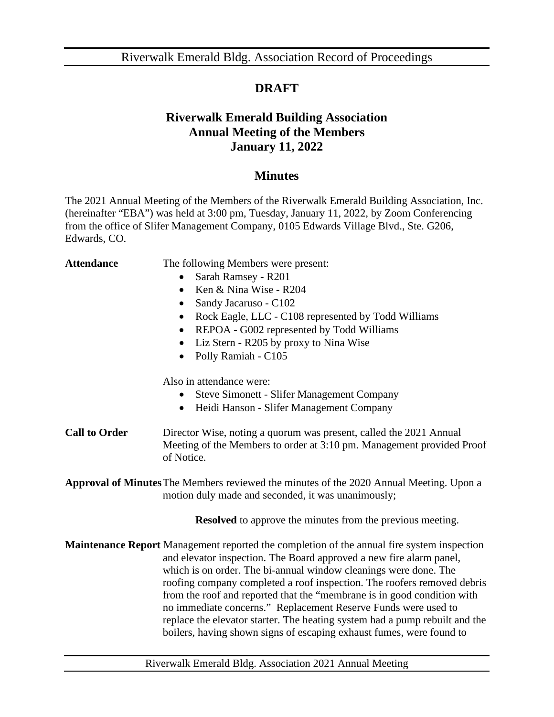## **DRAFT**

## **Riverwalk Emerald Building Association Annual Meeting of the Members January 11, 2022**

## **Minutes**

The 2021 Annual Meeting of the Members of the Riverwalk Emerald Building Association, Inc. (hereinafter "EBA") was held at 3:00 pm, Tuesday, January 11, 2022, by Zoom Conferencing from the office of Slifer Management Company, 0105 Edwards Village Blvd., Ste. G206, Edwards, CO.

| The following Members were present:                                                                                                                                                                                                                                                                                                                                                                                                                                                                                                                                                                                         |
|-----------------------------------------------------------------------------------------------------------------------------------------------------------------------------------------------------------------------------------------------------------------------------------------------------------------------------------------------------------------------------------------------------------------------------------------------------------------------------------------------------------------------------------------------------------------------------------------------------------------------------|
| Sarah Ramsey - R201                                                                                                                                                                                                                                                                                                                                                                                                                                                                                                                                                                                                         |
| Ken & Nina Wise - R204<br>$\bullet$                                                                                                                                                                                                                                                                                                                                                                                                                                                                                                                                                                                         |
| Sandy Jacaruso - C102<br>$\bullet$                                                                                                                                                                                                                                                                                                                                                                                                                                                                                                                                                                                          |
| Rock Eagle, LLC - C108 represented by Todd Williams                                                                                                                                                                                                                                                                                                                                                                                                                                                                                                                                                                         |
| REPOA - G002 represented by Todd Williams<br>$\bullet$                                                                                                                                                                                                                                                                                                                                                                                                                                                                                                                                                                      |
| Liz Stern - R205 by proxy to Nina Wise<br>$\bullet$                                                                                                                                                                                                                                                                                                                                                                                                                                                                                                                                                                         |
| Polly Ramiah - C105<br>$\bullet$                                                                                                                                                                                                                                                                                                                                                                                                                                                                                                                                                                                            |
| Also in attendance were:                                                                                                                                                                                                                                                                                                                                                                                                                                                                                                                                                                                                    |
| <b>Steve Simonett - Slifer Management Company</b>                                                                                                                                                                                                                                                                                                                                                                                                                                                                                                                                                                           |
| Heidi Hanson - Slifer Management Company<br>$\bullet$                                                                                                                                                                                                                                                                                                                                                                                                                                                                                                                                                                       |
| Director Wise, noting a quorum was present, called the 2021 Annual<br>Meeting of the Members to order at 3:10 pm. Management provided Proof<br>of Notice.                                                                                                                                                                                                                                                                                                                                                                                                                                                                   |
| <b>Approval of Minutes</b> The Members reviewed the minutes of the 2020 Annual Meeting. Upon a<br>motion duly made and seconded, it was unanimously;                                                                                                                                                                                                                                                                                                                                                                                                                                                                        |
| <b>Resolved</b> to approve the minutes from the previous meeting.                                                                                                                                                                                                                                                                                                                                                                                                                                                                                                                                                           |
| <b>Maintenance Report</b> Management reported the completion of the annual fire system inspection<br>and elevator inspection. The Board approved a new fire alarm panel,<br>which is on order. The bi-annual window cleanings were done. The<br>roofing company completed a roof inspection. The roofers removed debris<br>from the roof and reported that the "membrane is in good condition with<br>no immediate concerns." Replacement Reserve Funds were used to<br>replace the elevator starter. The heating system had a pump rebuilt and the<br>boilers, having shown signs of escaping exhaust fumes, were found to |
|                                                                                                                                                                                                                                                                                                                                                                                                                                                                                                                                                                                                                             |

Riverwalk Emerald Bldg. Association 2021 Annual Meeting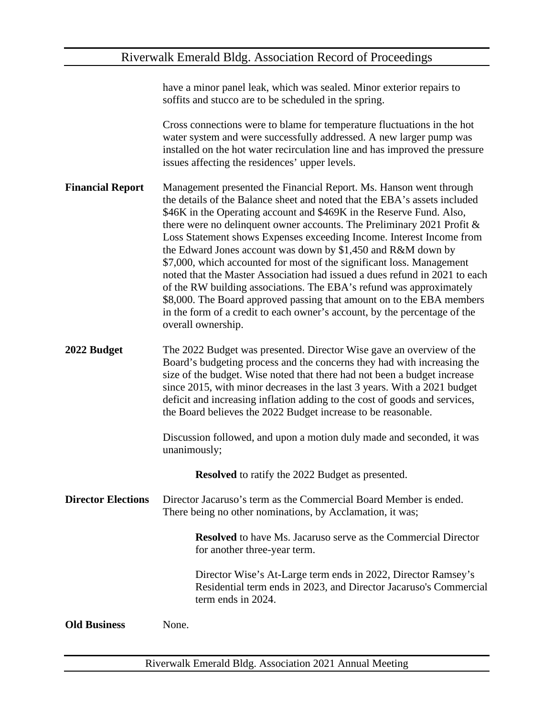|                           | have a minor panel leak, which was sealed. Minor exterior repairs to<br>soffits and stucco are to be scheduled in the spring.                                                                                                                                                                                                                                                                                                                                                                                                                                                                                                                                                                                                                                                                                                                          |
|---------------------------|--------------------------------------------------------------------------------------------------------------------------------------------------------------------------------------------------------------------------------------------------------------------------------------------------------------------------------------------------------------------------------------------------------------------------------------------------------------------------------------------------------------------------------------------------------------------------------------------------------------------------------------------------------------------------------------------------------------------------------------------------------------------------------------------------------------------------------------------------------|
|                           | Cross connections were to blame for temperature fluctuations in the hot<br>water system and were successfully addressed. A new larger pump was<br>installed on the hot water recirculation line and has improved the pressure<br>issues affecting the residences' upper levels.                                                                                                                                                                                                                                                                                                                                                                                                                                                                                                                                                                        |
| <b>Financial Report</b>   | Management presented the Financial Report. Ms. Hanson went through<br>the details of the Balance sheet and noted that the EBA's assets included<br>\$46K in the Operating account and \$469K in the Reserve Fund. Also,<br>there were no delinquent owner accounts. The Preliminary 2021 Profit $\&$<br>Loss Statement shows Expenses exceeding Income. Interest Income from<br>the Edward Jones account was down by \$1,450 and R&M down by<br>\$7,000, which accounted for most of the significant loss. Management<br>noted that the Master Association had issued a dues refund in 2021 to each<br>of the RW building associations. The EBA's refund was approximately<br>\$8,000. The Board approved passing that amount on to the EBA members<br>in the form of a credit to each owner's account, by the percentage of the<br>overall ownership. |
| 2022 Budget               | The 2022 Budget was presented. Director Wise gave an overview of the<br>Board's budgeting process and the concerns they had with increasing the<br>size of the budget. Wise noted that there had not been a budget increase<br>since 2015, with minor decreases in the last 3 years. With a 2021 budget<br>deficit and increasing inflation adding to the cost of goods and services,<br>the Board believes the 2022 Budget increase to be reasonable.                                                                                                                                                                                                                                                                                                                                                                                                 |
|                           | Discussion followed, and upon a motion duly made and seconded, it was<br>unanimously;                                                                                                                                                                                                                                                                                                                                                                                                                                                                                                                                                                                                                                                                                                                                                                  |
|                           | <b>Resolved</b> to ratify the 2022 Budget as presented.                                                                                                                                                                                                                                                                                                                                                                                                                                                                                                                                                                                                                                                                                                                                                                                                |
| <b>Director Elections</b> | Director Jacaruso's term as the Commercial Board Member is ended.<br>There being no other nominations, by Acclamation, it was;                                                                                                                                                                                                                                                                                                                                                                                                                                                                                                                                                                                                                                                                                                                         |
|                           | <b>Resolved</b> to have Ms. Jacaruso serve as the Commercial Director<br>for another three-year term.                                                                                                                                                                                                                                                                                                                                                                                                                                                                                                                                                                                                                                                                                                                                                  |
|                           | Director Wise's At-Large term ends in 2022, Director Ramsey's<br>Residential term ends in 2023, and Director Jacaruso's Commercial<br>term ends in 2024.                                                                                                                                                                                                                                                                                                                                                                                                                                                                                                                                                                                                                                                                                               |
| <b>Old Business</b>       | None.                                                                                                                                                                                                                                                                                                                                                                                                                                                                                                                                                                                                                                                                                                                                                                                                                                                  |
|                           |                                                                                                                                                                                                                                                                                                                                                                                                                                                                                                                                                                                                                                                                                                                                                                                                                                                        |